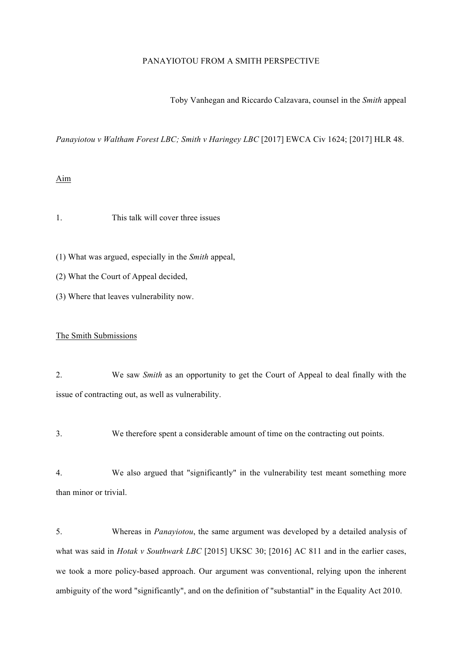# PANAYIOTOU FROM A SMITH PERSPECTIVE

Toby Vanhegan and Riccardo Calzavara, counsel in the *Smith* appeal

*Panayiotou v Waltham Forest LBC; Smith v Haringey LBC* [2017] EWCA Civ 1624; [2017] HLR 48.

### Aim

1. This talk will cover three issues

(1) What was argued, especially in the *Smith* appeal,

- (2) What the Court of Appeal decided,
- (3) Where that leaves vulnerability now.

## The Smith Submissions

2. We saw *Smith* as an opportunity to get the Court of Appeal to deal finally with the issue of contracting out, as well as vulnerability.

3. We therefore spent a considerable amount of time on the contracting out points.

4. We also argued that "significantly" in the vulnerability test meant something more than minor or trivial.

5. Whereas in *Panayiotou*, the same argument was developed by a detailed analysis of what was said in *Hotak v Southwark LBC* [2015] UKSC 30; [2016] AC 811 and in the earlier cases, we took a more policy-based approach. Our argument was conventional, relying upon the inherent ambiguity of the word "significantly", and on the definition of "substantial" in the Equality Act 2010.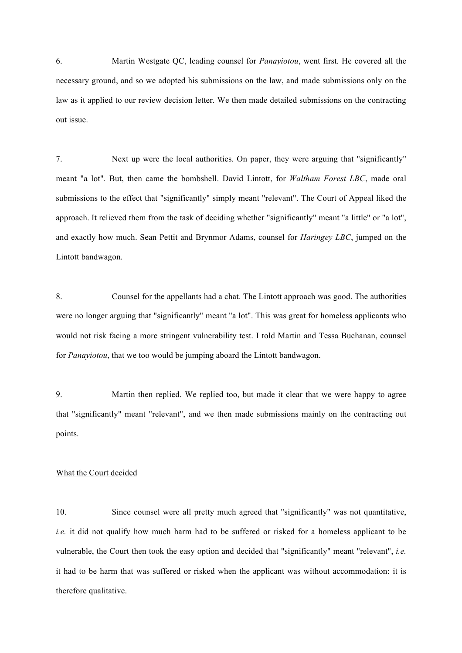6. Martin Westgate QC, leading counsel for *Panayiotou*, went first. He covered all the necessary ground, and so we adopted his submissions on the law, and made submissions only on the law as it applied to our review decision letter. We then made detailed submissions on the contracting out issue.

7. Next up were the local authorities. On paper, they were arguing that "significantly" meant "a lot". But, then came the bombshell. David Lintott, for *Waltham Forest LBC*, made oral submissions to the effect that "significantly" simply meant "relevant". The Court of Appeal liked the approach. It relieved them from the task of deciding whether "significantly" meant "a little" or "a lot", and exactly how much. Sean Pettit and Brynmor Adams, counsel for *Haringey LBC*, jumped on the Lintott bandwagon.

8. Counsel for the appellants had a chat. The Lintott approach was good. The authorities were no longer arguing that "significantly" meant "a lot". This was great for homeless applicants who would not risk facing a more stringent vulnerability test. I told Martin and Tessa Buchanan, counsel for *Panayiotou*, that we too would be jumping aboard the Lintott bandwagon.

9. Martin then replied. We replied too, but made it clear that we were happy to agree that "significantly" meant "relevant", and we then made submissions mainly on the contracting out points.

# What the Court decided

10. Since counsel were all pretty much agreed that "significantly" was not quantitative, *i.e.* it did not qualify how much harm had to be suffered or risked for a homeless applicant to be vulnerable, the Court then took the easy option and decided that "significantly" meant "relevant", *i.e.* it had to be harm that was suffered or risked when the applicant was without accommodation: it is therefore qualitative.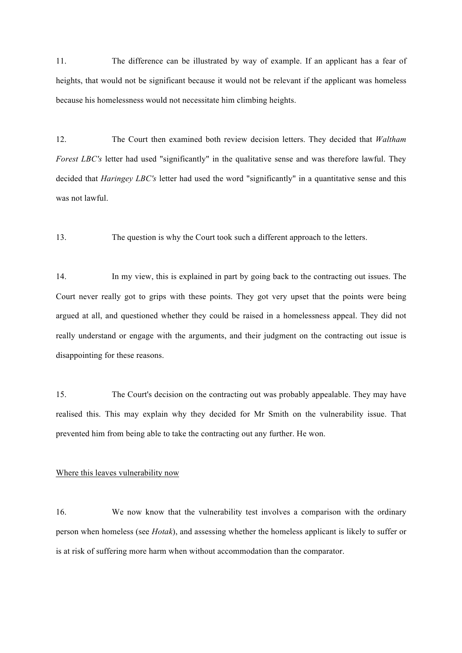11. The difference can be illustrated by way of example. If an applicant has a fear of heights, that would not be significant because it would not be relevant if the applicant was homeless because his homelessness would not necessitate him climbing heights.

12. The Court then examined both review decision letters. They decided that *Waltham Forest LBC's* letter had used "significantly" in the qualitative sense and was therefore lawful. They decided that *Haringey LBC's* letter had used the word "significantly" in a quantitative sense and this was not lawful.

13. The question is why the Court took such a different approach to the letters.

14. In my view, this is explained in part by going back to the contracting out issues. The Court never really got to grips with these points. They got very upset that the points were being argued at all, and questioned whether they could be raised in a homelessness appeal. They did not really understand or engage with the arguments, and their judgment on the contracting out issue is disappointing for these reasons.

15. The Court's decision on the contracting out was probably appealable. They may have realised this. This may explain why they decided for Mr Smith on the vulnerability issue. That prevented him from being able to take the contracting out any further. He won.

### Where this leaves vulnerability now

16. We now know that the vulnerability test involves a comparison with the ordinary person when homeless (see *Hotak*), and assessing whether the homeless applicant is likely to suffer or is at risk of suffering more harm when without accommodation than the comparator.